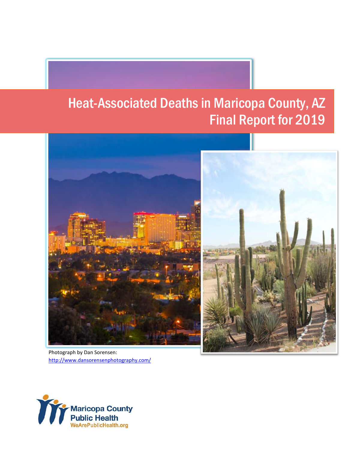## Heat-Associated Deaths in Maricopa County, AZ Final Report for 2019



Photograph by Dan Sorensen: <http://www.dansorensenphotography.com/>

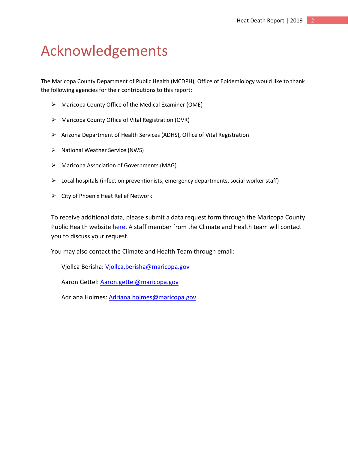## <span id="page-2-0"></span>Acknowledgements

The Maricopa County Department of Public Health (MCDPH), Office of Epidemiology would like to thank the following agencies for their contributions to this report:

- ➢ Maricopa County Office of the Medical Examiner (OME)
- ➢ Maricopa County Office of Vital Registration (OVR)
- ➢ Arizona Department of Health Services (ADHS), Office of Vital Registration
- ➢ National Weather Service (NWS)
- ➢ Maricopa Association of Governments (MAG)
- $\triangleright$  Local hospitals (infection preventionists, emergency departments, social worker staff)
- ➢ City of Phoenix Heat Relief Network

To receive additional data, please submit a data request form through the Maricopa County Public Health website [here.](https://phdra.maricopa.gov/) A staff member from the Climate and Health team will contact you to discuss your request.

You may also contact the Climate and Health Team through email:

Vjollca Berisha: [Vjollca.berisha@maricopa.gov](mailto:Vjollca.berisha@maricopa.gov)

Aaron Gettel: [Aaron.gettel@maricopa.gov](mailto:Aaron.gettel@maricopa.gov)

Adriana Holmes: [Adriana.holmes@maricopa.gov](mailto:Adriana.holmes@maricopa.gov)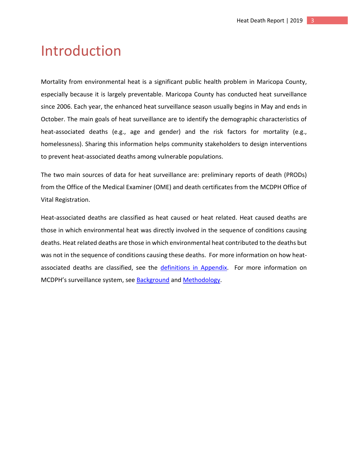## <span id="page-3-0"></span>Introduction

Mortality from environmental heat is a significant public health problem in Maricopa County, especially because it is largely preventable. Maricopa County has conducted heat surveillance since 2006. Each year, the enhanced heat surveillance season usually begins in May and ends in October. The main goals of heat surveillance are to identify the demographic characteristics of heat-associated deaths (e.g., age and gender) and the risk factors for mortality (e.g., homelessness). Sharing this information helps community stakeholders to design interventions to prevent heat-associated deaths among vulnerable populations.

The two main sources of data for heat surveillance are: preliminary reports of death (PRODs) from the Office of the Medical Examiner (OME) and death certificates from the MCDPH Office of Vital Registration.

Heat-associated deaths are classified as heat caused or heat related. Heat caused deaths are those in which environmental heat was directly involved in the sequence of conditions causing deaths. Heat related deaths are those in which environmental heat contributed to the deaths but was not in the sequence of conditions causing these deaths. For more information on how heatassociated deaths are classified, see the [definitions in Appendix.](#page-21-0) For more information on MCDPH's surveillance system, see **Background and Methodology**.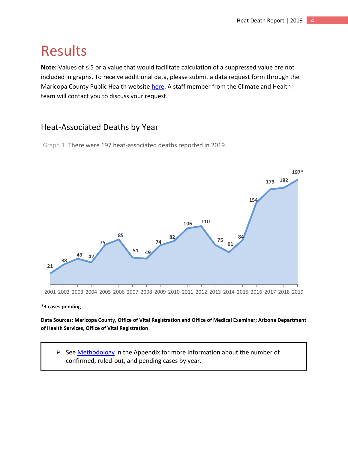## <span id="page-4-0"></span>Results

**Note:** Values of ≤ 5 or a value that would facilitate calculation of a suppressed value are not included in graphs. To receive additional data, please submit a data request form through the Maricopa County Public Health website [here.](https://phdra.maricopa.gov/) A staff member from the Climate and Health team will contact you to discuss your request.

### <span id="page-4-1"></span>Heat-Associated Deaths by Year

Graph 1. There were 197 heat-associated deaths reported in 2019.



#### **\*3 cases pending**

**Data Sources: Maricopa County, Office of Vital Registration and Office of Medical Examiner; Arizona Department of Health Services, Office of Vital Registration**

➢ See [Methodology](#page-20-2) in the Appendix for more information about the number of confirmed, ruled-out, and pending cases by year.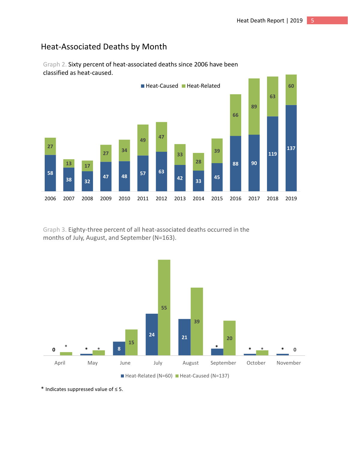### Heat-Associated Deaths by Month



Graph 2. Sixty percent of heat-associated deaths since 2006 have been classified as heat-caused.

Graph 3. Eighty-three percent of all heat-associated deaths occurred in the months of July, August, and September (N=163).



\* Indicates suppressed value of ≤ 5.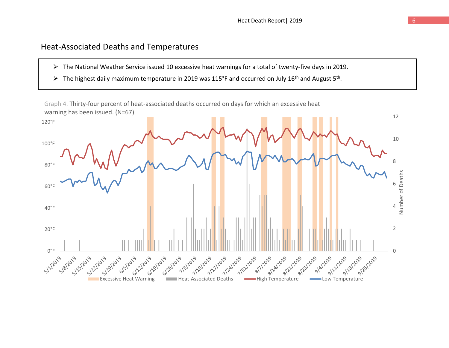### Heat-Associated Deaths and Temperatures

- ➢ The National Weather Service issued 10 excessive heat warnings for a total of twenty-five days in 2019.
- $\triangleright$  The highest daily maximum temperature in 2019 was 115°F and occurred on July 16<sup>th</sup> and August 5<sup>th</sup>.

<span id="page-6-0"></span>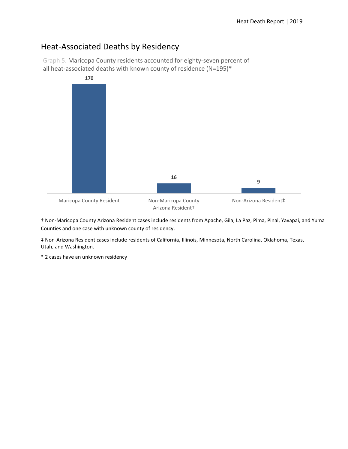### <span id="page-7-0"></span>Heat-Associated Deaths by Residency

Graph 5. Maricopa County residents accounted for eighty-seven percent of all heat-associated deaths with known county of residence (N=195)\*



† Non-Maricopa County Arizona Resident cases include residents from Apache, Gila, La Paz, Pima, Pinal, Yavapai, and Yuma Counties and one case with unknown county of residency.

‡ Non-Arizona Resident cases include residents of California, Illinois, Minnesota, North Carolina, Oklahoma, Texas, Utah, and Washington.

\* 2 cases have an unknown residency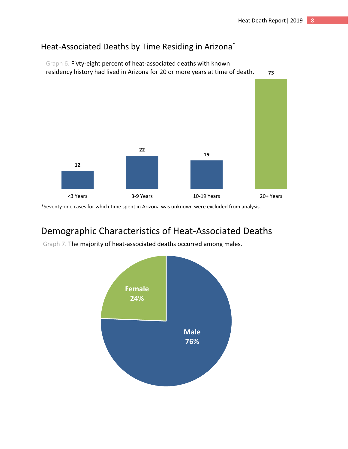### <span id="page-8-0"></span>Heat-Associated Deaths by Time Residing in Arizona\*



Graph 6. Fivty-eight percent of heat-associated deaths with known

\*Seventy-one cases for which time spent in Arizona was unknown were excluded from analysis.

## <span id="page-8-1"></span>Demographic Characteristics of Heat-Associated Deaths

Graph 7. The majority of heat-associated deaths occurred among males.

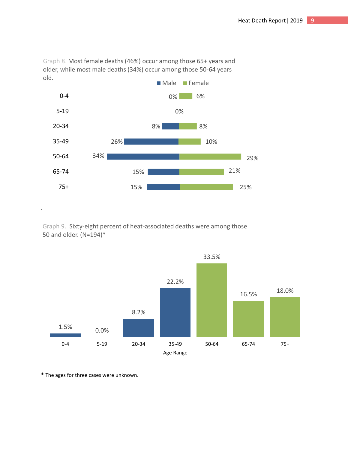

Graph 8. Most female deaths (46%) occur among those 65+ years and older, while most male deaths (34%) occur among those 50-64 years old.

Graph 9. Sixty-eight percent of heat-associated deaths were among those 50 and older. (N=194)\*



\* The ages for three cases were unknown.

.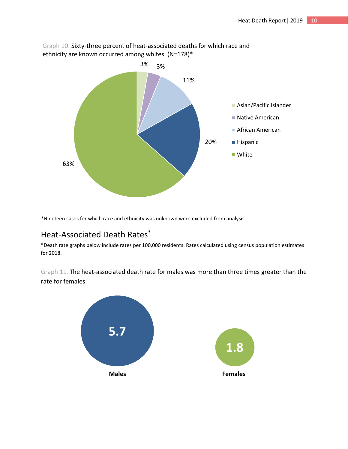

Graph 10. Sixty-three percent of heat-associated deaths for which race and ethnicity are known occurred among whites. (N=178)\*

\*Nineteen cases for which race and ethnicity was unknown were excluded from analysis

### <span id="page-10-0"></span>Heat-Associated Death Rates \*

\*Death rate graphs below include rates per 100,000 residents. Rates calculated using census population estimates for 2018.

Graph 11. The heat-associated death rate for males was more than three times greater than the rate for females.

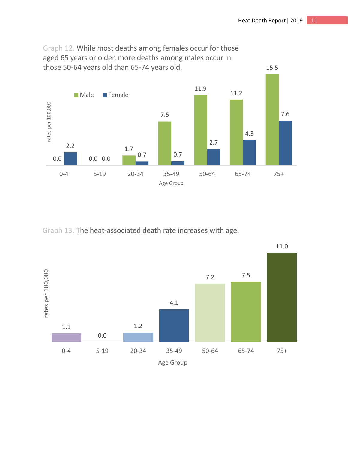

Graph 12. While most deaths among females occur for those aged 65 years or older, more deaths among males occur in those 50-64 years old than 65-74 years old.

Graph 13. The heat-associated death rate increases with age.



11.0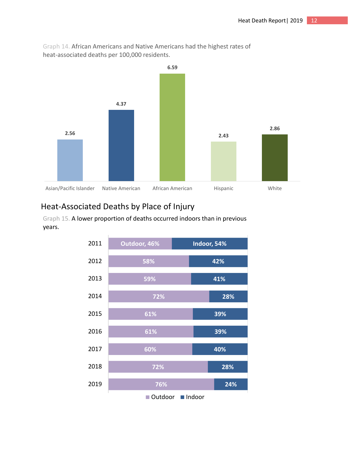

Graph 14. African Americans and Native Americans had the highest rates of heat-associated deaths per 100,000 residents.

### <span id="page-12-0"></span>Heat-Associated Deaths by Place of Injury

Graph 15. A lower proportion of deaths occurred indoors than in previous years.

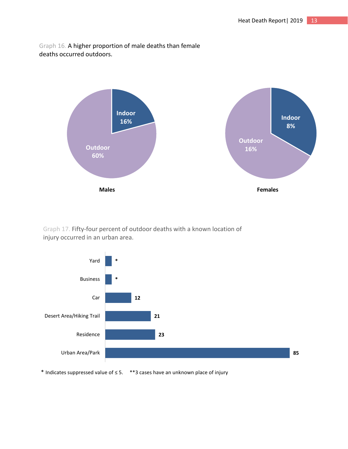Graph 16. A higher proportion of male deaths than female deaths occurred outdoors.



Graph 17. Fifty-four percent of outdoor deaths with a known location of injury occurred in an urban area.



\* Indicates suppressed value of ≤ 5. \*\*3 cases have an unknown place of injury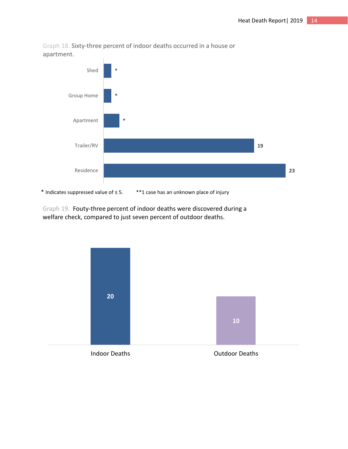

Graph 18. Sixty-three percent of indoor deaths occurred in a house or apartment.

Graph 19. Fouty-three percent of indoor deaths were discovered during a welfare check, compared to just seven percent of outdoor deaths.

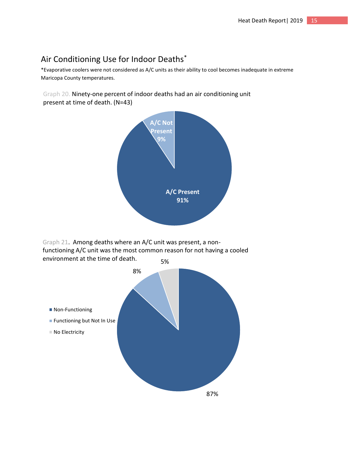### <span id="page-15-0"></span>Air Conditioning Use for Indoor Deaths\*

\*Evaporative coolers were not considered as A/C units as their ability to cool becomes inadequate in extreme Maricopa County temperatures.

Graph 20. Ninety-one percent of indoor deaths had an air conditioning unit present at time of death. (N=43)



5% Graph 21. Among deaths where an A/C unit was present, a nonfunctioning A/C unit was the most common reason for not having a cooled environment at the time of death.

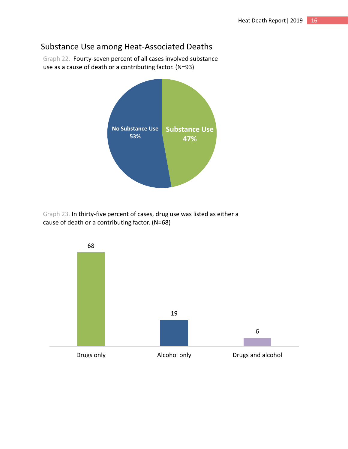### <span id="page-16-0"></span>Substance Use among Heat-Associated Deaths

Graph 22. Fourty-seven percent of all cases involved substance use as a cause of death or a contributing factor. (N=93)



Graph 23. In thirty-five percent of cases, drug use was listed as either a cause of death or a contributing factor. (N=68)

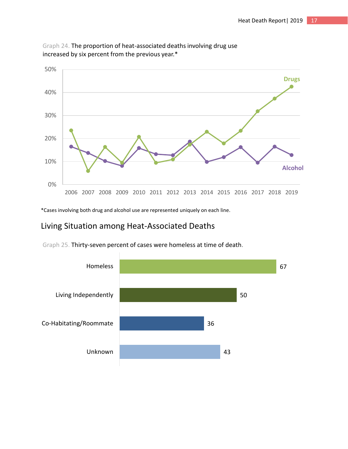

Graph 24. The proportion of heat-associated deaths involving drug use increased by six percent from the previous year.\*

\*Cases involving both drug and alcohol use are represented uniquely on each line.

### <span id="page-17-0"></span>Living Situation among Heat-Associated Deaths

Graph 25. Thirty-seven percent of cases were homeless at time of death.

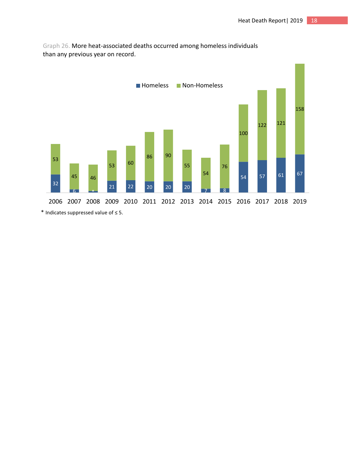

Graph 26. More heat-associated deaths occurred among homeless individuals than any previous year on record.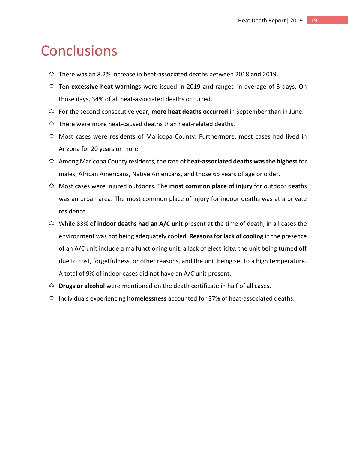## <span id="page-19-0"></span>**Conclusions**

- $\ddot{\circ}$  There was an 8.2% increase in heat-associated deaths between 2018 and 2019.
- Ten **excessive heat warnings** were issued in 2019 and ranged in average of 3 days. On those days, 34% of all heat-associated deaths occurred.
- For the second consecutive year, **more heat deaths occurred** in September than in June.
- $\Leftrightarrow$  There were more heat-caused deaths than heat-related deaths.
- Most cases were residents of Maricopa County. Furthermore, most cases had lived in Arizona for 20 years or more.
- Among Maricopa County residents, the rate of **heat-associated deaths was the highest** for males, African Americans, Native Americans, and those 65 years of age or older.
- Most cases were injured outdoors. The **most common place of injury** for outdoor deaths was an urban area. The most common place of injury for indoor deaths was at a private residence.
- While 83% of **indoor deaths had an A/C unit** present at the time of death, in all cases the environment was not being adequately cooled. **Reasons for lack of cooling** in the presence of an A/C unit include a malfunctioning unit, a lack of electricity, the unit being turned off due to cost, forgetfulness, or other reasons, and the unit being set to a high temperature. A total of 9% of indoor cases did not have an A/C unit present.
- **Drugs or alcohol** were mentioned on the death certificate in half of all cases.
- Individuals experiencing **homelessness** accounted for 37% of heat-associated deaths.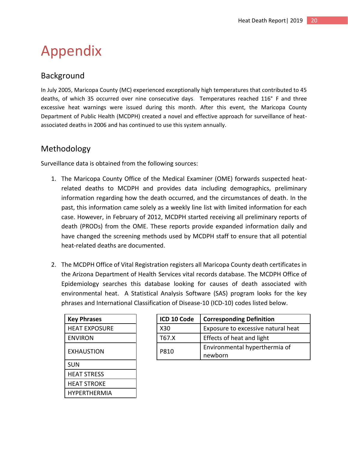# <span id="page-20-0"></span>Appendix

### <span id="page-20-1"></span>Background

<span id="page-20-3"></span>In July 2005, Maricopa County (MC) experienced exceptionally high temperatures that contributed to 45 deaths, of which 35 occurred over nine consecutive days. Temperatures reached 116° F and three excessive heat warnings were issued during this month. After this event, the Maricopa County Department of Public Health (MCDPH) created a novel and effective approach for surveillance of heatassociated deaths in 2006 and has continued to use this system annually.

### <span id="page-20-2"></span>Methodology

<span id="page-20-4"></span>Surveillance data is obtained from the following sources:

- 1. The Maricopa County Office of the Medical Examiner (OME) forwards suspected heatrelated deaths to MCDPH and provides data including demographics, preliminary information regarding how the death occurred, and the circumstances of death. In the past, this information came solely as a weekly line list with limited information for each case. However, in February of 2012, MCDPH started receiving all preliminary reports of death (PRODs) from the OME. These reports provide expanded information daily and have changed the screening methods used by MCDPH staff to ensure that all potential heat-related deaths are documented.
- 2. The MCDPH Office of Vital Registration registers all Maricopa County death certificates in the Arizona Department of Health Services vital records database. The MCDPH Office of Epidemiology searches this database looking for causes of death associated with environmental heat. A Statistical Analysis Software (SAS) program looks for the key phrases and International Classification of Disease-10 (ICD-10) codes listed below.

| <b>Key Phrases</b> |
|--------------------|
| HEAT EXPOSURE      |
| ENVIRON            |
| EXHAUSTION         |
| SUN                |
| HEAT STRESS        |
| HEAT STROKE        |
| HYPFRTHFRMIA       |

| <b>Key Phrases</b>   | ICD 10 Code | <b>Corresponding Definition</b>    |
|----------------------|-------------|------------------------------------|
| <b>HEAT EXPOSURE</b> | X30         | Exposure to excessive natural heat |
| <b>ENVIRON</b>       | T67.X       | Effects of heat and light          |
| <b>EXHAUSTION</b>    | P810        | Environmental hyperthermia of      |
|                      |             | newborn                            |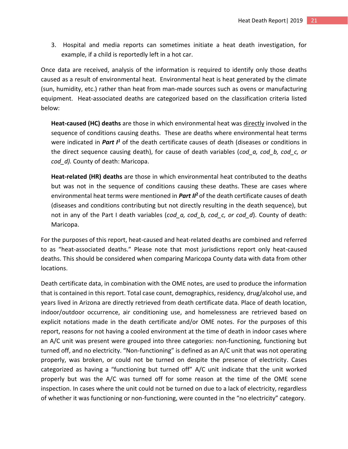3. Hospital and media reports can sometimes initiate a heat death investigation, for example, if a child is reportedly left in a hot car.

Once data are received, analysis of the information is required to identify only those deaths caused as a result of environmental heat. Environmental heat is heat generated by the climate (sun, humidity, etc.) rather than heat from man-made sources such as ovens or manufacturing equipment. Heat-associated deaths are categorized based on the classification criteria listed below:

<span id="page-21-0"></span>**Heat-caused (HC) deaths** are those in which environmental heat was directly involved in the sequence of conditions causing deaths. These are deaths where environmental heat terms were indicated in *Part I<sup>1</sup>* of the death certificate causes of death (diseases or conditions in the direct sequence causing death), for cause of death variables (*cod\_a, cod\_b, cod\_c, or cod\_d).* County of death: Maricopa.

**Heat-related (HR) deaths** are those in which environmental heat contributed to the deaths but was not in the sequence of conditions causing these deaths. These are cases where environmental heat terms were mentioned in *Part II***<sup>2</sup>**of the death certificate causes of death (diseases and conditions contributing but not directly resulting in the death sequence), but not in any of the Part I death variables (*cod\_a, cod\_b, cod\_c, or cod\_d*). County of death: Maricopa.

For the purposes of this report, heat-caused and heat-related deaths are combined and referred to as "heat-associated deaths." Please note that most jurisdictions report only heat-caused deaths. This should be considered when comparing Maricopa County data with data from other locations.

Death certificate data, in combination with the OME notes, are used to produce the information that is contained in this report. Total case count, demographics, residency, drug/alcohol use, and years lived in Arizona are directly retrieved from death certificate data. Place of death location, indoor/outdoor occurrence, air conditioning use, and homelessness are retrieved based on explicit notations made in the death certificate and/or OME notes. For the purposes of this report, reasons for not having a cooled environment at the time of death in indoor cases where an A/C unit was present were grouped into three categories: non-functioning, functioning but turned off, and no electricity. "Non-functioning" is defined as an A/C unit that was not operating properly, was broken, or could not be turned on despite the presence of electricity. Cases categorized as having a "functioning but turned off" A/C unit indicate that the unit worked properly but was the A/C was turned off for some reason at the time of the OME scene inspection. In cases where the unit could not be turned on due to a lack of electricity, regardless of whether it was functioning or non-functioning, were counted in the "no electricity" category.